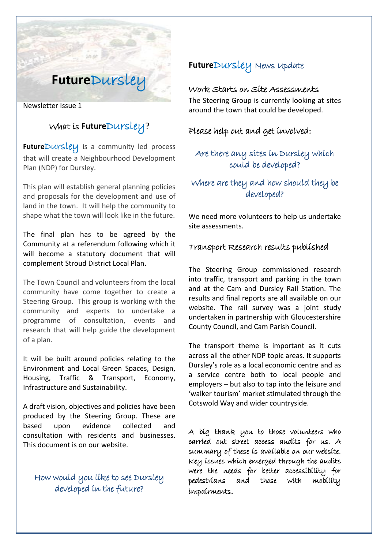# **Future**Dursley

Newsletter Issue 1

## What is **Future**Dursley?

FutureDursley is a community led process that will create a Neighbourhood Development Plan (NDP) for Dursley.

This plan will establish general planning policies and proposals for the development and use of land in the town. It will help the community to shape what the town will look like in the future.

The final plan has to be agreed by the Community at a referendum following which it will become a statutory document that will complement Stroud District Local Plan.

The Town Council and volunteers from the local community have come together to create a Steering Group. This group is working with the community and experts to undertake a programme of consultation, events and research that will help guide the development of a plan.

It will be built around policies relating to the Environment and Local Green Spaces, Design, Housing, Traffic & Transport, Economy, Infrastructure and Sustainability.

A draft vision, objectives and policies have been produced by the Steering Group. These are based upon evidence collected and consultation with residents and businesses. This document is on our website.

### How would you like to see Dursley developed in the future?

## **Future**Dursley News Update

#### Work Starts on Site Assessments

The Steering Group is currently looking at sites around the town that could be developed.

Please help out and get involved:

#### Are there any sites in Dursley which could be developed?

#### Where are they and how should they be developed?

We need more volunteers to help us undertake site assessments.

#### Transport Research results published

The Steering Group commissioned research into traffic, transport and parking in the town and at the Cam and Dursley Rail Station. The results and final reports are all available on our website. The rail survey was a joint study undertaken in partnership with Gloucestershire County Council, and Cam Parish Council.

The transport theme is important as it cuts across all the other NDP topic areas. It supports Dursley's role as a local economic centre and as a service centre both to local people and employers – but also to tap into the leisure and 'walker tourism' market stimulated through the Cotswold Way and wider countryside.

A big thank you to those volunteers who carried out street access audits for us. A summary of these is available on our website. Key issues which emerged through the audits were the needs for better accessibility for pedestrians and those with mobility impairments.